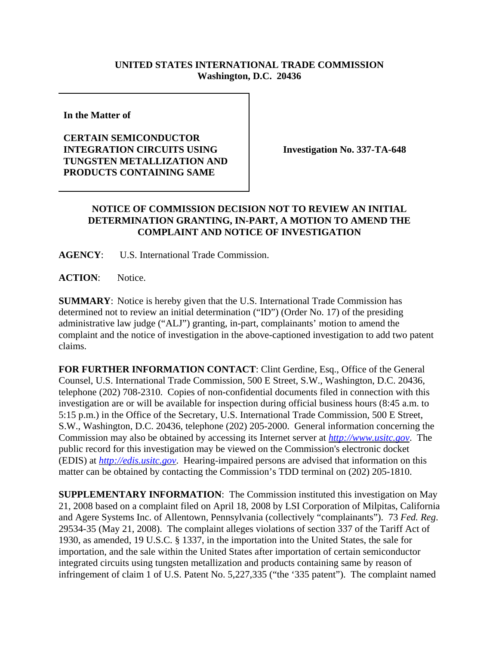## **UNITED STATES INTERNATIONAL TRADE COMMISSION Washington, D.C. 20436**

**In the Matter of** 

## **CERTAIN SEMICONDUCTOR INTEGRATION CIRCUITS USING TUNGSTEN METALLIZATION AND PRODUCTS CONTAINING SAME**

**Investigation No. 337-TA-648**

## **NOTICE OF COMMISSION DECISION NOT TO REVIEW AN INITIAL DETERMINATION GRANTING, IN-PART, A MOTION TO AMEND THE COMPLAINT AND NOTICE OF INVESTIGATION**

**AGENCY**: U.S. International Trade Commission.

**ACTION**: Notice.

**SUMMARY**: Notice is hereby given that the U.S. International Trade Commission has determined not to review an initial determination ("ID") (Order No. 17) of the presiding administrative law judge ("ALJ") granting, in-part, complainants' motion to amend the complaint and the notice of investigation in the above-captioned investigation to add two patent claims.

**FOR FURTHER INFORMATION CONTACT**: Clint Gerdine, Esq., Office of the General Counsel, U.S. International Trade Commission, 500 E Street, S.W., Washington, D.C. 20436, telephone (202) 708-2310. Copies of non-confidential documents filed in connection with this investigation are or will be available for inspection during official business hours (8:45 a.m. to 5:15 p.m.) in the Office of the Secretary, U.S. International Trade Commission, 500 E Street, S.W., Washington, D.C. 20436, telephone (202) 205-2000. General information concerning the Commission may also be obtained by accessing its Internet server at *http://www.usitc.gov*. The public record for this investigation may be viewed on the Commission's electronic docket (EDIS) at *http://edis.usitc.gov*. Hearing-impaired persons are advised that information on this matter can be obtained by contacting the Commission's TDD terminal on (202) 205-1810.

**SUPPLEMENTARY INFORMATION**: The Commission instituted this investigation on May 21, 2008 based on a complaint filed on April 18, 2008 by LSI Corporation of Milpitas, California and Agere Systems Inc. of Allentown, Pennsylvania (collectively "complainants"). 73 *Fed. Reg*. 29534-35 (May 21, 2008). The complaint alleges violations of section 337 of the Tariff Act of 1930, as amended, 19 U.S.C. § 1337, in the importation into the United States, the sale for importation, and the sale within the United States after importation of certain semiconductor integrated circuits using tungsten metallization and products containing same by reason of infringement of claim 1 of U.S. Patent No. 5,227,335 ("the '335 patent"). The complaint named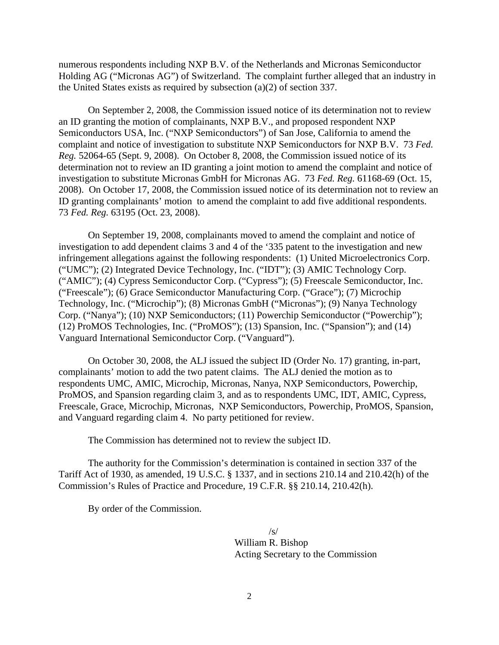numerous respondents including NXP B.V. of the Netherlands and Micronas Semiconductor Holding AG ("Micronas AG") of Switzerland. The complaint further alleged that an industry in the United States exists as required by subsection (a)(2) of section 337.

On September 2, 2008, the Commission issued notice of its determination not to review an ID granting the motion of complainants, NXP B.V., and proposed respondent NXP Semiconductors USA, Inc. ("NXP Semiconductors") of San Jose, California to amend the complaint and notice of investigation to substitute NXP Semiconductors for NXP B.V. 73 *Fed. Reg.* 52064-65 (Sept. 9, 2008). On October 8, 2008, the Commission issued notice of its determination not to review an ID granting a joint motion to amend the complaint and notice of investigation to substitute Micronas GmbH for Micronas AG. 73 *Fed. Reg.* 61168-69 (Oct. 15, 2008). On October 17, 2008, the Commission issued notice of its determination not to review an ID granting complainants' motion to amend the complaint to add five additional respondents. 73 *Fed. Reg.* 63195 (Oct. 23, 2008).

On September 19, 2008, complainants moved to amend the complaint and notice of investigation to add dependent claims 3 and 4 of the '335 patent to the investigation and new infringement allegations against the following respondents: (1) United Microelectronics Corp. ("UMC"); (2) Integrated Device Technology, Inc. ("IDT"); (3) AMIC Technology Corp. ("AMIC"); (4) Cypress Semiconductor Corp. ("Cypress"); (5) Freescale Semiconductor, Inc. ("Freescale"); (6) Grace Semiconductor Manufacturing Corp. ("Grace"); (7) Microchip Technology, Inc. ("Microchip"); (8) Micronas GmbH ("Micronas"); (9) Nanya Technology Corp. ("Nanya"); (10) NXP Semiconductors; (11) Powerchip Semiconductor ("Powerchip"); (12) ProMOS Technologies, Inc. ("ProMOS"); (13) Spansion, Inc. ("Spansion"); and (14) Vanguard International Semiconductor Corp. ("Vanguard").

On October 30, 2008, the ALJ issued the subject ID (Order No. 17) granting, in-part, complainants' motion to add the two patent claims. The ALJ denied the motion as to respondents UMC, AMIC, Microchip, Micronas, Nanya, NXP Semiconductors, Powerchip, ProMOS, and Spansion regarding claim 3, and as to respondents UMC, IDT, AMIC, Cypress, Freescale, Grace, Microchip, Micronas, NXP Semiconductors, Powerchip, ProMOS, Spansion, and Vanguard regarding claim 4. No party petitioned for review.

The Commission has determined not to review the subject ID.

The authority for the Commission's determination is contained in section 337 of the Tariff Act of 1930, as amended, 19 U.S.C. § 1337, and in sections 210.14 and 210.42(h) of the Commission's Rules of Practice and Procedure, 19 C.F.R. §§ 210.14, 210.42(h).

By order of the Commission.

 $\sqrt{s}$ William R. Bishop Acting Secretary to the Commission